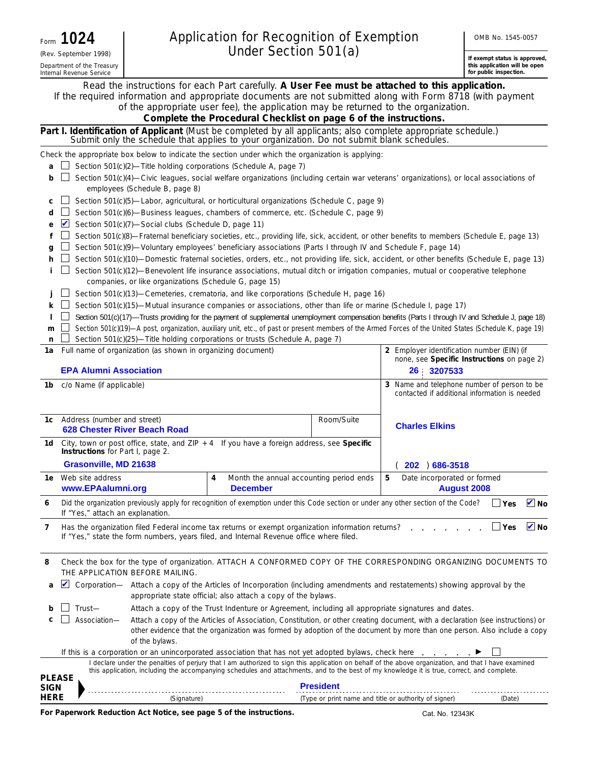| Form | 1024                                                   |
|------|--------------------------------------------------------|
|      | (Rev. September 1998)                                  |
|      | Department of the Treasury<br>Internal Revenue Service |

**If exempt status is approved, this application will be open** 

|               | Department of the Treasury<br>Internal Revenue Service                                                                                                                                                                                   |                                                                                                                                                                                                                                                                                                    |                  |                                                       | this application will be open<br>for public inspection. |
|---------------|------------------------------------------------------------------------------------------------------------------------------------------------------------------------------------------------------------------------------------------|----------------------------------------------------------------------------------------------------------------------------------------------------------------------------------------------------------------------------------------------------------------------------------------------------|------------------|-------------------------------------------------------|---------------------------------------------------------|
|               | Read the instructions for each Part carefully. A User Fee must be attached to this application.<br>If the required information and appropriate documents are not submitted along with Form 8718 (with payment                            | of the appropriate user fee), the application may be returned to the organization.<br>Complete the Procedural Checklist on page 6 of the instructions.                                                                                                                                             |                  |                                                       |                                                         |
|               | Part I. Identification of Applicant (Must be completed by all applicants; also complete appropriate schedule.)<br>Submit only the schedule that applies to your organization. Do not submit blank schedules.                             |                                                                                                                                                                                                                                                                                                    |                  |                                                       |                                                         |
|               | Check the appropriate box below to indicate the section under which the organization is applying:                                                                                                                                        |                                                                                                                                                                                                                                                                                                    |                  |                                                       |                                                         |
| a             | Section 501(c)(2)-Title holding corporations (Schedule A, page 7)                                                                                                                                                                        |                                                                                                                                                                                                                                                                                                    |                  |                                                       |                                                         |
| b             | Section 501(c)(4)—Civic leagues, social welfare organizations (including certain war veterans' organizations), or local associations of<br>employees (Schedule B, page 8)                                                                |                                                                                                                                                                                                                                                                                                    |                  |                                                       |                                                         |
| с             | Section 501(c)(5)—Labor, agricultural, or horticultural organizations (Schedule C, page 9)                                                                                                                                               |                                                                                                                                                                                                                                                                                                    |                  |                                                       |                                                         |
| d             | Section 501(c)(6)—Business leagues, chambers of commerce, etc. (Schedule C, page 9)<br>Section 501(c)(7)-Social clubs (Schedule D, page 11)                                                                                              |                                                                                                                                                                                                                                                                                                    |                  |                                                       |                                                         |
| е<br>f        | Section 501(c)(8)—Fraternal beneficiary societies, etc., providing life, sick, accident, or other benefits to members (Schedule E, page 13)                                                                                              |                                                                                                                                                                                                                                                                                                    |                  |                                                       |                                                         |
| q             | Section 501(c)(9)—Voluntary employees' beneficiary associations (Parts I through IV and Schedule F, page 14)                                                                                                                             |                                                                                                                                                                                                                                                                                                    |                  |                                                       |                                                         |
| h             | Section 501(c)(10)—Domestic fraternal societies, orders, etc., not providing life, sick, accident, or other benefits (Schedule E, page 13)                                                                                               |                                                                                                                                                                                                                                                                                                    |                  |                                                       |                                                         |
|               | Section 501(c)(12)—Benevolent life insurance associations, mutual ditch or irrigation companies, mutual or cooperative telephone<br>companies, or like organizations (Schedule G, page 15)                                               |                                                                                                                                                                                                                                                                                                    |                  |                                                       |                                                         |
|               | Section 501(c)(13)—Cemeteries, crematoria, and like corporations (Schedule H, page 16)                                                                                                                                                   |                                                                                                                                                                                                                                                                                                    |                  |                                                       |                                                         |
| ĸ             | Section 501(c)(15)-Mutual insurance companies or associations, other than life or marine (Schedule I, page 17)                                                                                                                           |                                                                                                                                                                                                                                                                                                    |                  |                                                       |                                                         |
|               | Section 501(c)(17)—Trusts providing for the payment of supplemental unemployment compensation benefits (Parts I through IV and Schedule J, page 18)                                                                                      |                                                                                                                                                                                                                                                                                                    |                  |                                                       |                                                         |
| m<br>n        | Section 501(c)(19)-A post, organization, auxiliary unit, etc., of past or present members of the Armed Forces of the United States (Schedule K, page 19)<br>Section 501(c)(25)-Title holding corporations or trusts (Schedule A, page 7) |                                                                                                                                                                                                                                                                                                    |                  |                                                       |                                                         |
| 1a            | Full name of organization (as shown in organizing document)                                                                                                                                                                              |                                                                                                                                                                                                                                                                                                    |                  | 2 Employer identification number (EIN) (if            |                                                         |
|               | <b>EPA Alumni Association</b>                                                                                                                                                                                                            |                                                                                                                                                                                                                                                                                                    |                  | 26 3207533                                            | none, see Specific Instructions on page 2)              |
| 1b I          | c/o Name (if applicable)                                                                                                                                                                                                                 |                                                                                                                                                                                                                                                                                                    |                  | 3 Name and telephone number of person to be           | contacted if additional information is needed           |
|               | 1c Address (number and street)<br>628 Chester River Beach Road                                                                                                                                                                           |                                                                                                                                                                                                                                                                                                    | Room/Suite       | <b>Charles Elkins</b>                                 |                                                         |
| 1d            | City, town or post office, state, and $ZIP + 4$ If you have a foreign address, see Specific<br><b>Instructions</b> for Part I, page 2.                                                                                                   |                                                                                                                                                                                                                                                                                                    |                  |                                                       |                                                         |
|               | Grasonville, MD 21638                                                                                                                                                                                                                    |                                                                                                                                                                                                                                                                                                    |                  | 202 ) 686-3518                                        |                                                         |
|               | <b>1e</b> Web site address<br>www.EPAalumni.org                                                                                                                                                                                          | Month the annual accounting period ends<br>4<br><b>December</b>                                                                                                                                                                                                                                    |                  | 5<br>Date incorporated or formed                      | <b>August 2008</b>                                      |
| 6             | Did the organization previously apply for recognition of exemption under this Code section or under any other section of the Code?<br>If "Yes," attach an explanation.                                                                   |                                                                                                                                                                                                                                                                                                    |                  |                                                       | $\triangleright$ No<br>$\Box$ Yes                       |
| 7             | Has the organization filed Federal income tax returns or exempt organization information returns?<br>If "Yes," state the form numbers, years filed, and Internal Revenue office where filed.                                             |                                                                                                                                                                                                                                                                                                    |                  |                                                       | $\triangledown$ No<br>$\Box$ Yes                        |
| 8             | Check the box for the type of organization. ATTACH A CONFORMED COPY OF THE CORRESPONDING ORGANIZING DOCUMENTS TO<br>THE APPLICATION BEFORE MAILING.                                                                                      |                                                                                                                                                                                                                                                                                                    |                  |                                                       |                                                         |
| a             | Corporation— Attach a copy of the Articles of Incorporation (including amendments and restatements) showing approval by the                                                                                                              | appropriate state official; also attach a copy of the bylaws.                                                                                                                                                                                                                                      |                  |                                                       |                                                         |
| b             | Trust-                                                                                                                                                                                                                                   | Attach a copy of the Trust Indenture or Agreement, including all appropriate signatures and dates.                                                                                                                                                                                                 |                  |                                                       |                                                         |
|               | Association-                                                                                                                                                                                                                             | Attach a copy of the Articles of Association, Constitution, or other creating document, with a declaration (see instructions) or<br>other evidence that the organization was formed by adoption of the document by more than one person. Also include a copy                                       |                  |                                                       |                                                         |
|               | of the bylaws.                                                                                                                                                                                                                           |                                                                                                                                                                                                                                                                                                    |                  |                                                       |                                                         |
|               | If this is a corporation or an unincorporated association that has not yet adopted bylaws, check here                                                                                                                                    |                                                                                                                                                                                                                                                                                                    |                  |                                                       |                                                         |
| <b>PLEASE</b> |                                                                                                                                                                                                                                          | I declare under the penalties of perjury that I am authorized to sign this application on behalf of the above organization, and that I have examined<br>this application, including the accompanying schedules and attachments, and to the best of my knowledge it is true, correct, and complete. |                  |                                                       |                                                         |
| SIGN          |                                                                                                                                                                                                                                          |                                                                                                                                                                                                                                                                                                    | <b>President</b> |                                                       |                                                         |
| <b>HERE</b>   | (Signature)                                                                                                                                                                                                                              |                                                                                                                                                                                                                                                                                                    |                  | (Type or print name and title or authority of signer) | (Date)                                                  |

**For Paperwork Reduction Act Notice, see page 5 of the instructions.** 

Cat. No. 12343K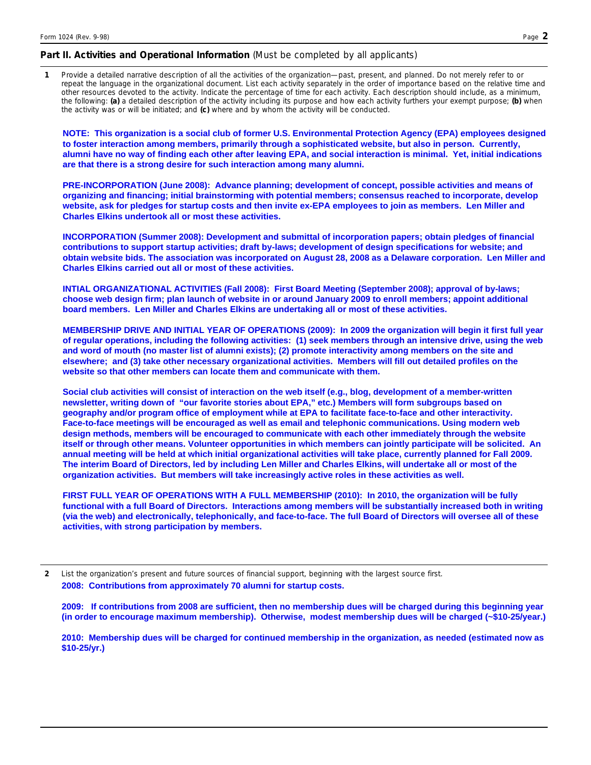### **Part II. Activities and Operational Information** (Must be completed by all applicants)

**1**  Provide a detailed narrative description of all the activities of the organization—past, present, and planned. Do not merely refer to or repeat the language in the organizational document. List each activity separately in the order of importance based on the relative time and other resources devoted to the activity. Indicate the percentage of time for each activity. Each description should include, as a minimum, the following: **(a)** a detailed description of the activity including its purpose and how each activity furthers your exempt purpose; **(b)** when the activity was or will be initiated; and **(c)** where and by whom the activity will be conducted.

**NOTE: This organization is a social club of former U.S. Environmental Protection Agency (EPA) employees designed to foster interaction among members, primarily through a sophisticated website, but also in person. Currently, alumni have no way of finding each other after leaving EPA, and social interaction is minimal. Yet, initial indications are that there is a strong desire for such interaction among many alumni.** 

**PRE-INCORPORATION (June 2008): Advance planning; development of concept, possible activities and means of organizing and financing; initial brainstorming with potential members; consensus reached to incorporate, develop website, ask for pledges for startup costs and then invite ex-EPA employees to join as members. Len Miller and Charles Elkins undertook all or most these activities.** 

**INCORPORATION (Summer 2008): Development and submittal of incorporation papers; obtain pledges of financial contributions to support startup activities; draft by-laws; development of design specifications for website; and obtain website bids. The association was incorporated on August 28, 2008 as a Delaware corporation. Len Miller and Charles Elkins carried out all or most of these activities.** 

**INTIAL ORGANIZATIONAL ACTIVITIES (Fall 2008): First Board Meeting (September 2008); approval of by-laws; choose web design firm; plan launch of website in or around January 2009 to enroll members; appoint additional board members. Len Miller and Charles Elkins are undertaking all or most of these activities.** 

**MEMBERSHIP DRIVE AND INITIAL YEAR OF OPERATIONS (2009): In 2009 the organization will begin it first full year of regular operations, including the following activities: (1) seek members through an intensive drive, using the web and word of mouth (no master list of alumni exists); (2) promote interactivity among members on the site and elsewhere; and (3) take other necessary organizational activities. Members will fill out detailed profiles on the website so that other members can locate them and communicate with them.** 

**Social club activities will consist of interaction on the web itself (e.g., blog, development of a member-written newsletter, writing down of "our favorite stories about EPA," etc.) Members will form subgroups based on geography and/or program office of employment while at EPA to facilitate face-to-face and other interactivity. Face-to-face meetings will be encouraged as well as email and telephonic communications. Using modern web design methods, members will be encouraged to communicate with each other immediately through the website itself or through other means. Volunteer opportunities in which members can jointly participate will be solicited. An annual meeting will be held at which initial organizational activities will take place, currently planned for Fall 2009. The interim Board of Directors, led by including Len Miller and Charles Elkins, will undertake all or most of the organization activities. But members will take increasingly active roles in these activities as well.** 

**FIRST FULL YEAR OF OPERATIONS WITH A FULL MEMBERSHIP (2010): In 2010, the organization will be fully functional with a full Board of Directors. Interactions among members will be substantially increased both in writing (via the web) and electronically, telephonically, and face-to-face. The full Board of Directors will oversee all of these activities, with strong participation by members.** 

**2** List the organization's present and future sources of financial support, beginning with the largest source first. **2008: Contributions from approximately 70 alumni for startup costs.** 

**2009: If contributions from 2008 are sufficient, then no membership dues will be charged during this beginning year (in order to encourage maximum membership). Otherwise, modest membership dues will be charged (~\$10-25/year.)** 

**2010: Membership dues will be charged for continued membership in the organization, as needed (estimated now as \$10-25/yr.)**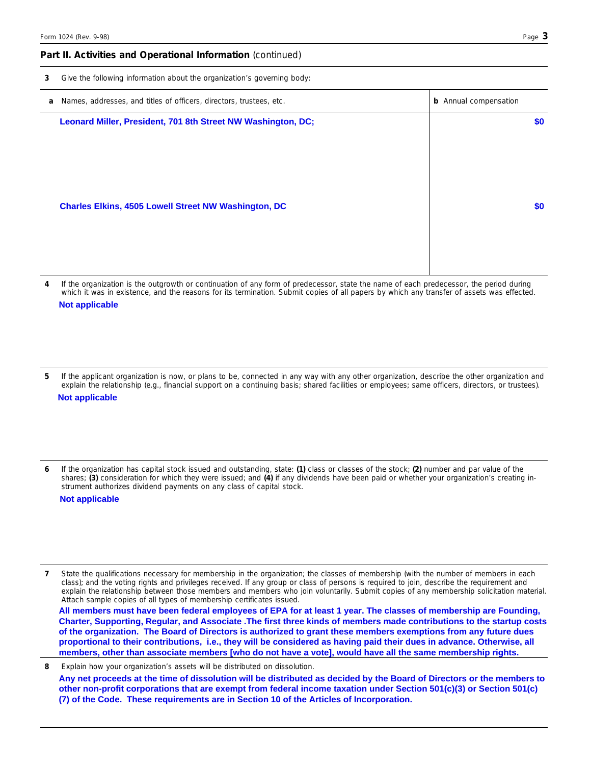#### **Part II. Activities and Operational Information** (continued)

| 3 | Give the following information about the organization's governing body: |  |  |
|---|-------------------------------------------------------------------------|--|--|
|   |                                                                         |  |  |

| a Names, addresses, and titles of officers, directors, trustees, etc. | <b>b</b> Annual compensation |
|-----------------------------------------------------------------------|------------------------------|
| Leonard Miller, President, 701 8th Street NW Washington, DC;          | \$0                          |
|                                                                       |                              |
|                                                                       |                              |
|                                                                       |                              |
| <b>Charles Elkins, 4505 Lowell Street NW Washington, DC</b>           | \$0                          |
|                                                                       |                              |
|                                                                       |                              |

**4**  If the organization is the outgrowth or continuation of any form of predecessor, state the name of each predecessor, the period during which it was in existence, and the reasons for its termination. Submit copies of all papers by which any transfer of assets was effected. **Not applicable**

**5**  If the applicant organization is now, or plans to be, connected in any way with any other organization, describe the other organization and explain the relationship (e.g., financial support on a continuing basis; shared facilities or employees; same officers, directors, or trustees). **Not applicable**

**6**  If the organization has capital stock issued and outstanding, state: **(1)** class or classes of the stock; **(2)** number and par value of the shares; **(3)** consideration for which they were issued; and **(4)** if any dividends have been paid or whether your organization's creating instrument authorizes dividend payments on any class of capital stock.

**Not applicable**

State the qualifications necessary for membership in the organization; the classes of membership (with the number of members in each class); and the voting rights and privileges received. If any group or class of persons is required to join, describe the requirement and explain the relationship between those members and members who join voluntarily. Submit copies of any membership solicitation material. Attach sample copies of all types of membership certificates issued. **7** 

**All members must have been federal employees of EPA for at least 1 year. The classes of membership are Founding, Charter, Supporting, Regular, and Associate .The first three kinds of members made contributions to the startup costs of the organization. The Board of Directors is authorized to grant these members exemptions from any future dues proportional to their contributions, i.e., they will be considered as having paid their dues in advance. Otherwise, all members, other than associate members [who do not have a vote], would have all the same membership rights.**

Explain how your organization's assets will be distributed on dissolution. **8 Any net proceeds at the time of dissolution will be distributed as decided by the Board of Directors or the members to other non-profit corporations that are exempt from federal income taxation under Section 501(c)(3) or Section 501(c) (7) of the Code. These requirements are in Section 10 of the Articles of Incorporation.**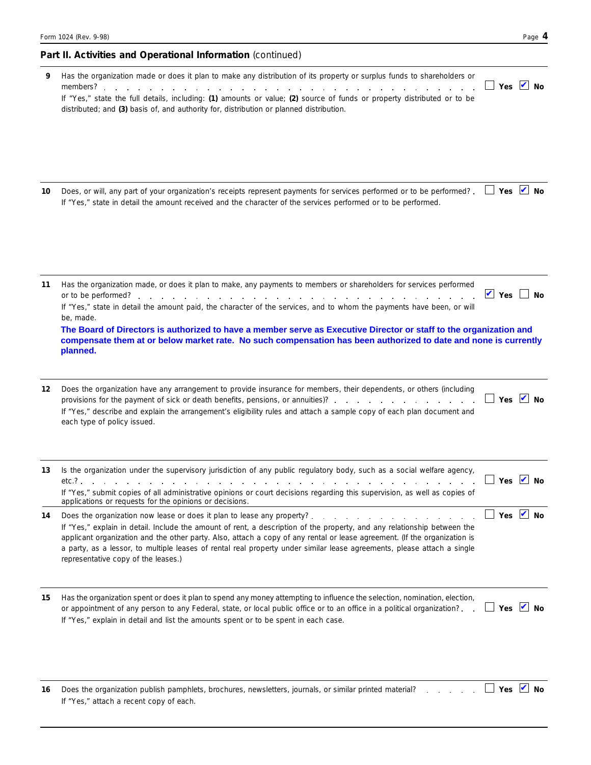### **Part II. Activities and Operational Information** (continued)

| 9  | Has the organization made or does it plan to make any distribution of its property or surplus funds to shareholders or<br>If "Yes," state the full details, including: (1) amounts or value; (2) source of funds or property distributed or to be                                                                                                                                                                                                                             | $\overline{\phantom{a}}$ Yes $\overline{\phantom{a}}$ No |  |
|----|-------------------------------------------------------------------------------------------------------------------------------------------------------------------------------------------------------------------------------------------------------------------------------------------------------------------------------------------------------------------------------------------------------------------------------------------------------------------------------|----------------------------------------------------------|--|
|    | distributed; and (3) basis of, and authority for, distribution or planned distribution.                                                                                                                                                                                                                                                                                                                                                                                       |                                                          |  |
| 10 | Does, or will, any part of your organization's receipts represent payments for services performed or to be performed?.<br>If "Yes," state in detail the amount received and the character of the services performed or to be performed.                                                                                                                                                                                                                                       | $\Box$ Yes $\Box$ No                                     |  |
| 11 | Has the organization made, or does it plan to make, any payments to members or shareholders for services performed<br>If "Yes," state in detail the amount paid, the character of the services, and to whom the payments have been, or will<br>be, made.                                                                                                                                                                                                                      | $\vee$ Yes $\Box$ No                                     |  |
|    | The Board of Directors is authorized to have a member serve as Executive Director or staff to the organization and<br>compensate them at or below market rate. No such compensation has been authorized to date and none is currently<br>planned.                                                                                                                                                                                                                             |                                                          |  |
| 12 | Does the organization have any arrangement to provide insurance for members, their dependents, or others (including<br>provisions for the payment of sick or death benefits, pensions, or annuities)?<br>If "Yes," describe and explain the arrangement's eligibility rules and attach a sample copy of each plan document and<br>each type of policy issued.                                                                                                                 | $\Box$ Yes $\blacksquare$ No                             |  |
| 13 | Is the organization under the supervisory jurisdiction of any public regulatory body, such as a social welfare agency,<br>$etc.?\qquad \qquad .\qquad \qquad .\qquad \qquad .\qquad \qquad .$<br>and the contract of the contract of the contract of the contract of the contract of<br>If "Yes," submit copies of all administrative opinions or court decisions regarding this supervision, as well as copies of<br>applications or requests for the opinions or decisions. | _  Yes ∠ No                                              |  |
| 14 | If "Yes," explain in detail. Include the amount of rent, a description of the property, and any relationship between the<br>applicant organization and the other party. Also, attach a copy of any rental or lease agreement. (If the organization is<br>a party, as a lessor, to multiple leases of rental real property under similar lease agreements, please attach a single<br>representative copy of the leases.)                                                       | $\Box$ Yes $\blacksquare$ No                             |  |
| 15 | Has the organization spent or does it plan to spend any money attempting to influence the selection, nomination, election,<br>or appointment of any person to any Federal, state, or local public office or to an office in a political organization?. .<br>If "Yes," explain in detail and list the amounts spent or to be spent in each case.                                                                                                                               | $\Box$ Yes $\blacksquare$ No                             |  |
| 16 | Does the organization publish pamphlets, brochures, newsletters, journals, or similar printed material?<br>If "Yes," attach a recent copy of each.                                                                                                                                                                                                                                                                                                                            | $\overline{\phantom{a}}$ Yes $\overline{\phantom{a}}$ No |  |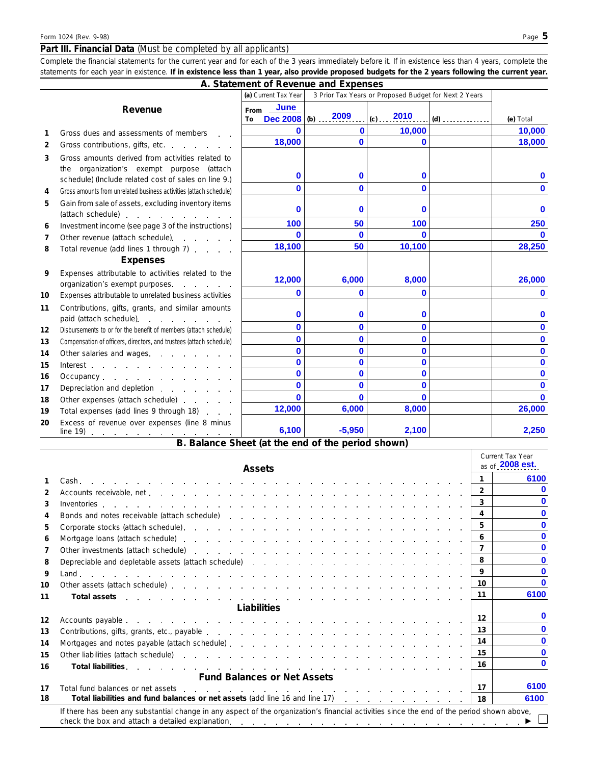### **Part III. Financial Data** (Must be completed by all applicants)

*Complete the financial statements for the current year and for each of the 3 years immediately before it. If in existence less than 4 years, complete the statements for each year in existence. If in existence less than 1 year, also provide proposed budgets for the 2 years following the current year.*  **A. Statement of Revenue and Expenses** 

|                 |                                                                                                                                                                                                                                                                                       | A. Statement of Revenue and Expenses |                             |                                                       |       |              |
|-----------------|---------------------------------------------------------------------------------------------------------------------------------------------------------------------------------------------------------------------------------------------------------------------------------------|--------------------------------------|-----------------------------|-------------------------------------------------------|-------|--------------|
|                 |                                                                                                                                                                                                                                                                                       | (a) Current Tax Year                 |                             | 3 Prior Tax Years or Proposed Budget for Next 2 Years |       |              |
|                 | Revenue                                                                                                                                                                                                                                                                               | <b>June</b><br>From<br>To            | Dec 2008 (b) 2009           | (c) $2010$                                            | $(d)$ | (e) Total    |
| 1               | Gross dues and assessments of members                                                                                                                                                                                                                                                 | $\bf{0}$                             | $\bf{0}$                    | 10,000                                                |       | 10,000       |
| $\overline{2}$  | Gross contributions, gifts, etc.                                                                                                                                                                                                                                                      | 18,000                               | O                           | $\bf{0}$                                              |       | 18,000       |
| 3               | Gross amounts derived from activities related to<br>the organization's exempt purpose (attach<br>schedule) (Include related cost of sales on line 9.)                                                                                                                                 | $\bf{0}$                             | $\bf{0}$                    | $\bf{0}$                                              |       | o            |
| 4               | Gross amounts from unrelated business activities (attach schedule)                                                                                                                                                                                                                    | $\mathbf{0}$                         | $\Omega$                    | $\bf{0}$                                              |       | $\bf{0}$     |
| 5               | Gain from sale of assets, excluding inventory items<br>(attach schedule) expansion and the set of the set of the set of the set of the set of the set of the set of the set of the set of the set of the set of the set of the set of the set of the set of the set of the set of the | 0                                    | $\bf{0}$                    | 0                                                     |       | $\mathbf 0$  |
| 6               | Investment income (see page 3 of the instructions)                                                                                                                                                                                                                                    | 100                                  | 50                          | 100                                                   |       | 250          |
| 7               |                                                                                                                                                                                                                                                                                       | $\Omega$                             | $\bf{0}$                    | $\bf{0}$                                              |       | n            |
| 8               | Total revenue (add lines 1 through 7)                                                                                                                                                                                                                                                 | 18,100                               | 50                          | 10,100                                                |       | 28,250       |
|                 | <b>Expenses</b>                                                                                                                                                                                                                                                                       |                                      |                             |                                                       |       |              |
| 9               | Expenses attributable to activities related to the<br>organization's exempt purposes.                                                                                                                                                                                                 | 12,000                               | 6,000                       | 8,000                                                 |       | 26,000       |
| 10              | Expenses attributable to unrelated business activities                                                                                                                                                                                                                                | O                                    | $\bf{0}$                    | 0                                                     |       | $\bf{0}$     |
| 11              | Contributions, gifts, grants, and similar amounts<br>paid (attach schedule).<br>the contract of the contract of                                                                                                                                                                       | 0                                    | $\bf{0}$                    | $\bf{0}$                                              |       | O            |
| 12 <sup>2</sup> | Disbursements to or for the benefit of members (attach schedule)                                                                                                                                                                                                                      | $\bf{0}$                             | $\bf{0}$                    | $\bf{0}$                                              |       | O            |
| 13              | Compensation of officers, directors, and trustees (attach schedule)                                                                                                                                                                                                                   | 0                                    | 0                           | 0                                                     |       | 0            |
| 14              | Other salaries and wages.                                                                                                                                                                                                                                                             | $\bf{0}$                             | $\bf{0}$                    | $\bf{0}$                                              |       | $\bf{0}$     |
| 15              | Interest $\ldots$ $\ldots$ $\ldots$ $\ldots$ $\ldots$ $\ldots$                                                                                                                                                                                                                        | $\bf{0}$                             | $\bf{0}$                    | $\bf{0}$                                              |       | $\bf{0}$     |
| 16              | Occupancy experience and the contract of the contract of the contract of the contract of the contract of the contract of the contract of the contract of the contract of the contract of the contract of the contract of the c                                                        | $\mathbf{0}$                         | $\bf{0}$                    | $\bf{0}$                                              |       | 0            |
| 17              | Depreciation and depletion entitled and the set of the set of the set of the Depreciation and depletion                                                                                                                                                                               | $\bf{0}$                             | O                           | $\bf{0}$                                              |       | $\bf{0}$     |
| 18              | Other expenses (attach schedule) expenses (attach schedule)                                                                                                                                                                                                                           | $\Omega$                             | O                           | $\bf{0}$                                              |       | $\mathbf{0}$ |
| 19              | Total expenses (add lines 9 through 18)                                                                                                                                                                                                                                               | 12,000                               | 6.000                       | 8,000                                                 |       | 26,000       |
| 20              | Excess of revenue over expenses (line 8 minus<br>$line 19)$ $\cdots$ $\cdots$<br>$\overline{D}$ $\overline{D}$                                                                                                                                                                        | 6,100<br>$\sim$ Change (at the       | $-5,950$<br>الملائم والمراد | 2,100<br>بدارها المربورة<br>$\cdot$                   |       | 2,250        |

**B. Balance Sheet (at the end of the period shown)** 

|    |                                                                                                                                                                                                                                                                                                                                                                                   |                | Current Tax Year<br>as of 2008 est. |
|----|-----------------------------------------------------------------------------------------------------------------------------------------------------------------------------------------------------------------------------------------------------------------------------------------------------------------------------------------------------------------------------------|----------------|-------------------------------------|
|    | <b>Assets</b>                                                                                                                                                                                                                                                                                                                                                                     | $\mathbf{1}$   | 6100                                |
| 2  | Accounts receivable, net entering and and accounts receivable, net entering and accounts receivable, net entering and accounts of the set of the set of the set of the set of the set of the set of the set of the set of the                                                                                                                                                     | $\overline{2}$ |                                     |
| 3  |                                                                                                                                                                                                                                                                                                                                                                                   |                |                                     |
| 4  | Bonds and notes receivable (attach schedule) expansion and contain the set of the schedule of the schedule of the schedule of the schedule of the schedule of the schedule of the schedule of the schedule of the schedule of                                                                                                                                                     | $\overline{4}$ |                                     |
| 5  |                                                                                                                                                                                                                                                                                                                                                                                   |                |                                     |
| 6  | Corporate stocks (attach schedule), e.c. in the context of the corporate stocks (attach schedule), e.c. in the corporation of the corporation of the corporation of the corporation of the corporation of the corporation of t                                                                                                                                                    | 6              | n                                   |
| 7  | Other investments (attach schedule) entering and and are all the schedule of the schedule of the schedule of the schedule of the schedule of the schedule of the schedule of the schedule of the schedule of the schedule of t                                                                                                                                                    | $\overline{7}$ |                                     |
| 8  |                                                                                                                                                                                                                                                                                                                                                                                   | 8              | n                                   |
|    | Depreciable and depletable assets (attach schedule) and a set of the state of the schedule of the schedule of the state of the state of the state of the state of the state of the state of the state of the state of the stat                                                                                                                                                    | 9              |                                     |
| 9  | Land , and a company of the company of the company of the company of the company of the company of the company of the company of the company of the company of the company of the company of the company of the company of the                                                                                                                                                    | 10             | n                                   |
| 10 | Other assets (attach schedule) enterprise that is a contracted by the contracted by the contracted by the contracted by the contracted by the contracted by the contracted by the contracted by the contracted by the contract                                                                                                                                                    | 11             | 6100                                |
| 11 | Total assets that are a contracted as a contracted asset and a set of the contracted assets that are a set of the contracted assets that are a set of the contracted assets a set of the contracted assets and a set of the co                                                                                                                                                    |                |                                     |
|    | Liabilities                                                                                                                                                                                                                                                                                                                                                                       |                | O                                   |
| 12 |                                                                                                                                                                                                                                                                                                                                                                                   | 12             |                                     |
| 13 |                                                                                                                                                                                                                                                                                                                                                                                   | 13             | n                                   |
| 14 | Mortgages and notes payable (attach schedule) entitled and and according to the state of the state of the state of the state of the state of the state of the state of the state of the state of the state of the state of the                                                                                                                                                    | 14             | <sup>0</sup>                        |
| 15 | Other liabilities (attach schedule) expansion and a series are a series of the schedule of the schedule of the schedule of the schedule of the schedule of the schedule of the schedule of the schedule of the schedule of the                                                                                                                                                    | 15             |                                     |
| 16 |                                                                                                                                                                                                                                                                                                                                                                                   | 16             | n                                   |
|    | <b>Fund Balances or Net Assets</b>                                                                                                                                                                                                                                                                                                                                                |                |                                     |
| 17 | Total fund balances or net assets<br>designed to the contract of the contract of the contract of the contract of the contract of the contract of the contract of the contract of the contract of the contract of the contract of the contract of the contract of th                                                                                                               | 17             | 6100                                |
| 18 | Total liabilities and fund balances or net assets (add line 16 and line 17)                                                                                                                                                                                                                                                                                                       | 18             | 6100                                |
|    | If there has been any substantial change in any aspect of the organization's financial activities since the end of the period shown above,<br>check the box and attach a detailed explanation. <b>Conserver Conserver Conserver Conserver Conserver Conserver Conserver Conserver Conserver Conserver Conserver Conserver Conserver Conserver Conserver Conserver Conserver C</b> |                |                                     |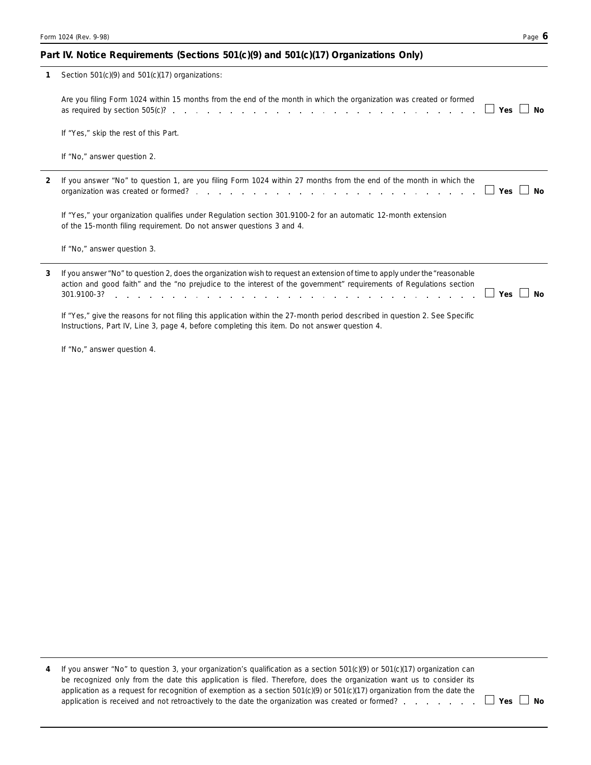### Part IV. Notice Requirements (Sections 501(c)(9) and 501(c)(17) Organizations Only)

|   | Section $501(c)(9)$ and $501(c)(17)$ organizations:                                                                                                                                                                                                 |           |
|---|-----------------------------------------------------------------------------------------------------------------------------------------------------------------------------------------------------------------------------------------------------|-----------|
|   | Are you filing Form 1024 within 15 months from the end of the month in which the organization was created or formed                                                                                                                                 | Yes<br>Nο |
|   | If "Yes," skip the rest of this Part.                                                                                                                                                                                                               |           |
|   | If "No," answer question 2.                                                                                                                                                                                                                         |           |
| 2 | If you answer "No" to question 1, are you filing Form 1024 within 27 months from the end of the month in which the                                                                                                                                  | Nο<br>Yes |
|   | If "Yes," your organization qualifies under Regulation section 301.9100-2 for an automatic 12-month extension<br>of the 15-month filing requirement. Do not answer questions 3 and 4.                                                               |           |
|   | If "No," answer question 3.                                                                                                                                                                                                                         |           |
| 3 | If you answer "No" to question 2, does the organization wish to request an extension of time to apply under the "reasonable"<br>action and good faith" and the "no prejudice to the interest of the government" requirements of Regulations section | Yes<br>Nο |
|   | If "Yes," give the reasons for not filing this application within the 27-month period described in question 2. See Specific<br>Instructions, Part IV, Line 3, page 4, before completing this item. Do not answer question 4.                        |           |

If "No," answer question 4.

**4** If you answer "No" to question 3, your organization's qualification as a section 501(c)(9) or 501(c)(17) organization can be recognized only from the date this application is filed. Therefore, does the organization want us to consider its application as a request for recognition of exemption as a section 501(c)(9) or 501(c)(17) organization from the date the application is received and not retroactively to the date the organization was created or formed? **Wes No Allah Allah Allah Allah Allah Allah Allah Allah Allah Allah Allah Allah Allah Allah Allah Allah Allah Allah Allah Al**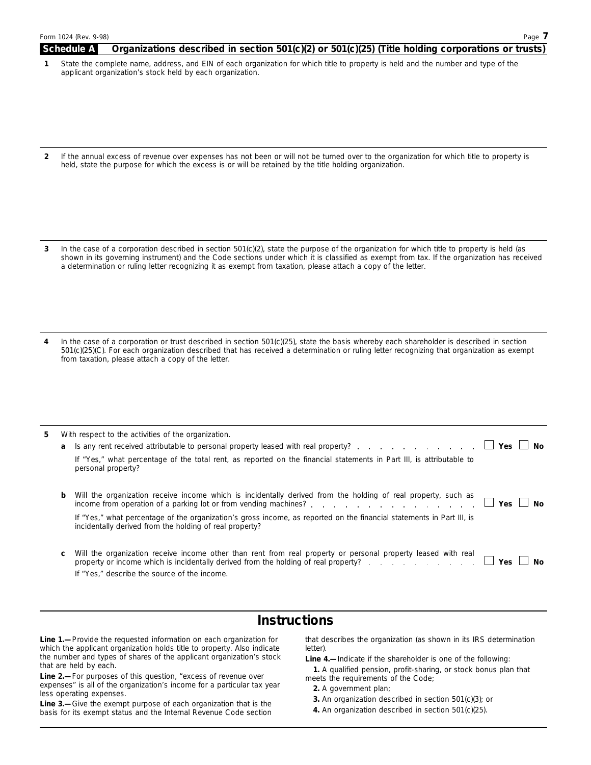#### **Schedule A Organizations described in section 501(c)(2) or 501(c)(25) (Title holding corporations or trusts)**

- **1**  State the complete name, address, and EIN of each organization for which title to property is held and the number and type of the applicant organization's stock held by each organization.
- **2**  If the annual excess of revenue over expenses has not been or will not be turned over to the organization for which title to property is held, state the purpose for which the excess is or will be retained by the title holding organization.
- **3**  In the case of a corporation described in section 501(c)(2), state the purpose of the organization for which title to property is held (as shown in its governing instrument) and the Code sections under which it is classified as exempt from tax. If the organization has received a determination or ruling letter recognizing it as exempt from taxation, please attach a copy of the letter.
- **4**  In the case of a corporation or trust described in section 501(c)(25), state the basis whereby each shareholder is described in section 501(c)(25)(C). For each organization described that has received a determination or ruling letter recognizing that organization as exempt from taxation, please attach a copy of the letter.

| 5. |   | With respect to the activities of the organization.                                                                                                                                                                                             |  |
|----|---|-------------------------------------------------------------------------------------------------------------------------------------------------------------------------------------------------------------------------------------------------|--|
|    |   |                                                                                                                                                                                                                                                 |  |
|    |   | If "Yes," what percentage of the total rent, as reported on the financial statements in Part III, is attributable to<br>personal property?                                                                                                      |  |
|    | b | Will the organization receive income which is incidentally derived from the holding of real property, such as income from operation of a parking lot or from vending machines?                                                                  |  |
|    |   | If "Yes," what percentage of the organization's gross income, as reported on the financial statements in Part III, is<br>incidentally derived from the holding of real property?                                                                |  |
|    | C | Will the organization receive income other than rent from real property or personal property leased with real<br>property or income which is incidentally derived from the holding of real property? $\ldots$ , $\ldots$ , $\Box$ Yes $\Box$ No |  |
|    |   | If "Yes," describe the source of the income.                                                                                                                                                                                                    |  |

## **Instructions**

which the applicant organization holds title to property. Also indicate the number and types of shares of the applicant organization's stock

the number and types of shares of the applicant organization's stock<br>
that are held by each.<br> **Line 2.**—For purposes of this question, "excess of revenue over<br>
expenses" is all of the organization's income for a particular

Line 1.—Provide the requested information on each organization for that describes the organization (as shown in its IRS determination which the applicant organization holds title to property. Also indicate letter).

- 
- 
-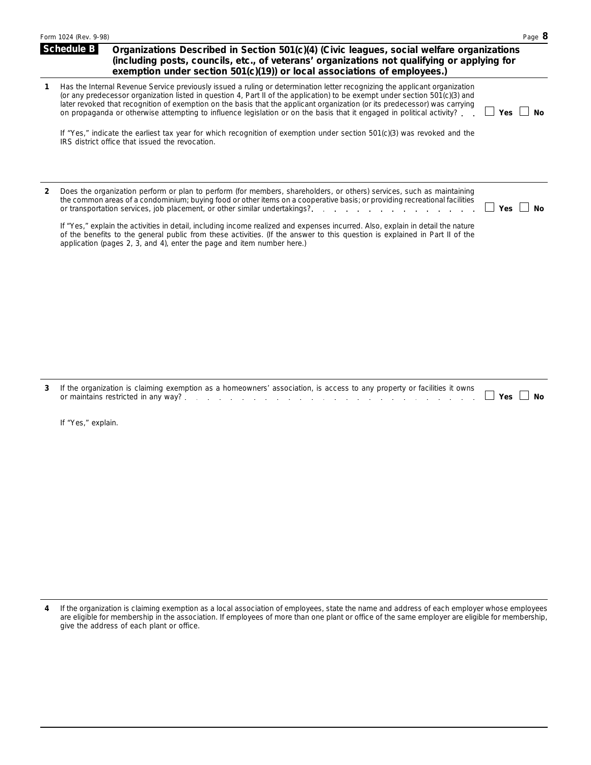|                | Form 1024 (Rev. 9-98)                                                                                                                                                                                                                                                                                                                                                                                                                                                                                                                                                                                                                                                                          | Page 8                  |
|----------------|------------------------------------------------------------------------------------------------------------------------------------------------------------------------------------------------------------------------------------------------------------------------------------------------------------------------------------------------------------------------------------------------------------------------------------------------------------------------------------------------------------------------------------------------------------------------------------------------------------------------------------------------------------------------------------------------|-------------------------|
|                | <b>Schedule B</b><br>Organizations Described in Section 501(c)(4) (Civic leagues, social welfare organizations<br>(including posts, councils, etc., of veterans' organizations not qualifying or applying for<br>exemption under section 501(c)(19)) or local associations of employees.)                                                                                                                                                                                                                                                                                                                                                                                                      |                         |
| 1              | Has the Internal Revenue Service previously issued a ruling or determination letter recognizing the applicant organization<br>(or any predecessor organization listed in question 4, Part II of the application) to be exempt under section 501(c)(3) and<br>later revoked that recognition of exemption on the basis that the applicant organization (or its predecessor) was carrying<br>on propaganda or otherwise attempting to influence legislation or on the basis that it engaged in political activity?<br>If "Yes," indicate the earliest tax year for which recognition of exemption under section 501(c)(3) was revoked and the<br>IRS district office that issued the revocation. | <b>No</b><br><b>Yes</b> |
| $\overline{2}$ | Does the organization perform or plan to perform (for members, shareholders, or others) services, such as maintaining<br>the common areas of a condominium; buying food or other items on a cooperative basis; or providing recreational facilities<br>or transportation services, job placement, or other similar undertakings?<br>the contract of the contract of the contract of the contract of the contract of the contract of the contract of                                                                                                                                                                                                                                            | <b>Yes</b><br>No        |
|                | If "Yes," explain the activities in detail, including income realized and expenses incurred. Also, explain in detail the nature<br>of the benefits to the general public from these activities. (If the answer to this question is explained in Part II of the<br>application (pages 2, 3, and 4), enter the page and item number here.)                                                                                                                                                                                                                                                                                                                                                       |                         |
| 3              | If the organization is claiming exemption as a homeowners' association, is access to any property or facilities it owns<br>or maintains restricted in any way?<br>a na mana na mana na mana na m                                                                                                                                                                                                                                                                                                                                                                                                                                                                                               | Yes  <br>Nο             |
|                | If "Yes," explain.                                                                                                                                                                                                                                                                                                                                                                                                                                                                                                                                                                                                                                                                             |                         |

If the organization is claiming exemption as a local association of employees, state the name and address of each employer whose employees are eligible for membership in the association. If employees of more than one plant or office of the same employer are eligible for membership, give the address of each plant or office. **4**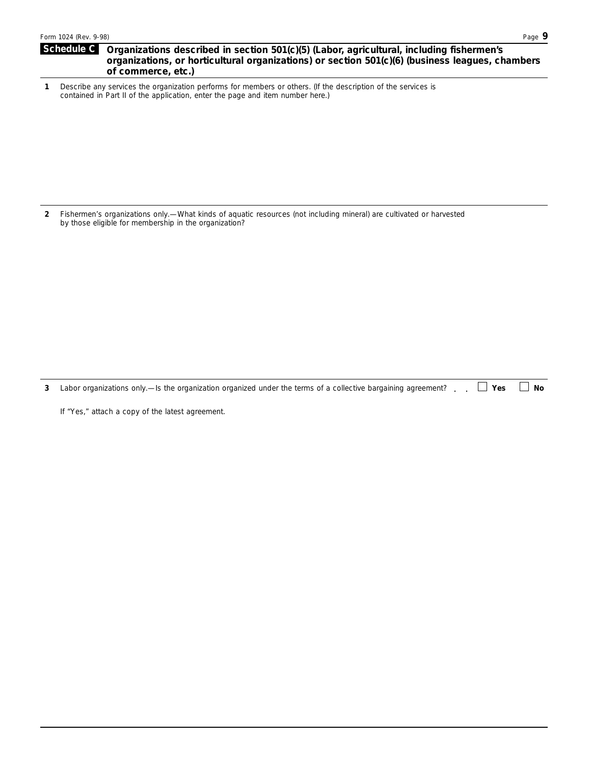### Schedule C Organizations described in section 501(c)(5) (Labor, agricultural, including fishermen's **organizations, or horticultural organizations) or section 501(c)(6) (business leagues, chambers of commerce, etc.)**

**1**  Describe any services the organization performs for members or others. (If the description of the services is contained in Part II of the application, enter the page and item number here.)

**2**  Fishermen's organizations only.—What kinds of aquatic resources (not including mineral) are cultivated or harvested by those eligible for membership in the organization?

**3**  Labor organizations only.—Is the organization organized under the terms of a collective bargaining agreement? . . D Yes D No

If "Yes," attach a copy of the latest agreement.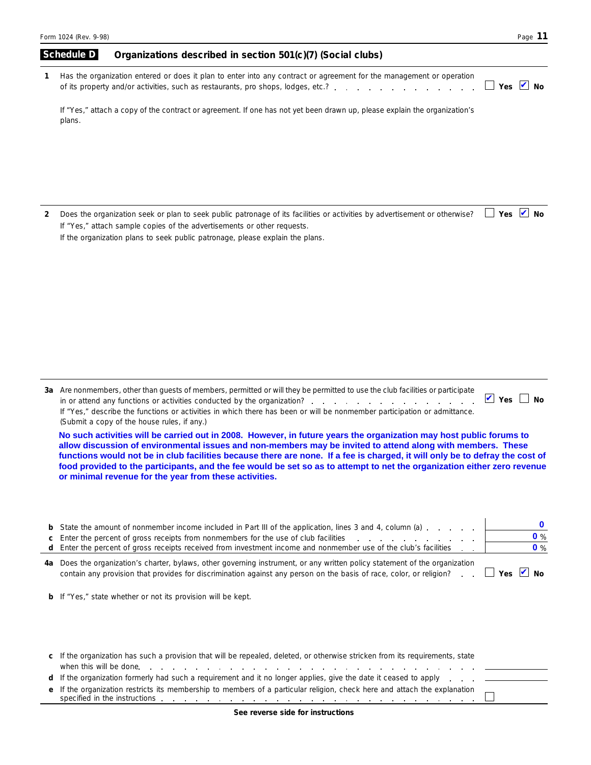|   | Form 1024 (Rev. 9-98)                                                                                                                                                                                                                                                                         | Page 11                    |
|---|-----------------------------------------------------------------------------------------------------------------------------------------------------------------------------------------------------------------------------------------------------------------------------------------------|----------------------------|
|   | Schedule D<br>Organizations described in section 501(c)(7) (Social clubs)                                                                                                                                                                                                                     |                            |
|   | Has the organization entered or does it plan to enter into any contract or agreement for the management or operation<br>Yes $\vee$                                                                                                                                                            | Nο                         |
|   | If "Yes," attach a copy of the contract or agreement. If one has not yet been drawn up, please explain the organization's<br>plans.                                                                                                                                                           |                            |
|   |                                                                                                                                                                                                                                                                                               |                            |
|   |                                                                                                                                                                                                                                                                                               |                            |
| 2 | Yes<br>Does the organization seek or plan to seek public patronage of its facilities or activities by advertisement or otherwise?<br>If "Yes," attach sample copies of the advertisements or other requests.<br>If the organization plans to seek public patronage, please explain the plans. | $\blacktriangledown$<br>Nο |
|   |                                                                                                                                                                                                                                                                                               |                            |

| (Submit a copy of the house rules, if any.)                                                                                    |          |  |
|--------------------------------------------------------------------------------------------------------------------------------|----------|--|
|                                                                                                                                |          |  |
| If "Yes," describe the functions or activities in which there has been or will be nonmember participation or admittance.       |          |  |
| in or attend any functions or activities conducted by the organization?                                                        | Yes I No |  |
| 3a Are nonmembers, other than quests of members, permitted or will they be permitted to use the club facilities or participate |          |  |

**allow discussion of environmental issues and non-members may be invited to attend along with members. These functions would not be in club facilities because there are none. If a fee is charged, it will only be to defray the cost of food provided to the participants, and the fee would be set so as to attempt to net the organization either zero revenue or minimal revenue for the year from these activities.**

|    | <b>b</b> State the amount of nonmember income included in Part III of the application, lines 3 and 4, column (a)<br>c Enter the percent of gross receipts from nonmembers for the use of club facilities<br>d Enter the percent of gross receipts received from investment income and nonmember use of the club's facilities | $\mathbf{0}$ %<br>$\mathbf{0}$ % |
|----|------------------------------------------------------------------------------------------------------------------------------------------------------------------------------------------------------------------------------------------------------------------------------------------------------------------------------|----------------------------------|
| 4a | Does the organization's charter, bylaws, other governing instrument, or any written policy statement of the organization<br>contain any provision that provides for discrimination against any person on the basis of race, color, or religion?                                                                              | $\Box$ Yes $\Box$ No             |
|    | <b>b</b> If "Yes," state whether or not its provision will be kept.                                                                                                                                                                                                                                                          |                                  |

| c If the organization has such a provision that will be repealed, deleted, or otherwise stricken from its requirements, state                                                                                                                                                                                                                               |  |
|-------------------------------------------------------------------------------------------------------------------------------------------------------------------------------------------------------------------------------------------------------------------------------------------------------------------------------------------------------------|--|
| d If the organization formerly had such a requirement and it no longer applies, give the date it ceased to apply _____________                                                                                                                                                                                                                              |  |
| e If the organization restricts its membership to members of a particular religion, check here and attach the explanation<br>specified in the instructions entering to the contract of the contract of the contract of the instructions entering to the contract of the contract of the contract of the contract of the contract of the contract of the con |  |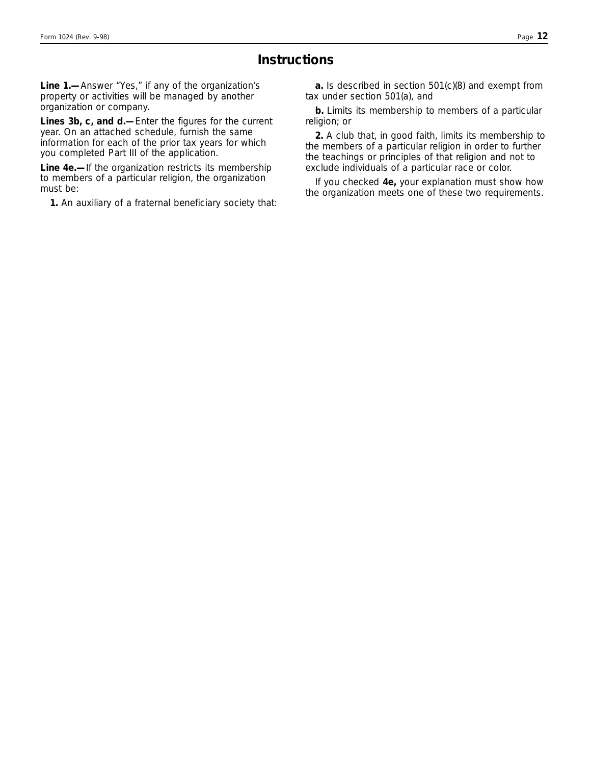## **Instructions**

**Line 1.—**Answer "Yes," if any of the organization's property or activities will be managed by another organization or company.

**Lines 3b, c, and d.—**Enter the figures for the current year. On an attached schedule, furnish the same information for each of the prior tax years for which you completed Part III of the application.

**Line 4e.—**If the organization restricts its membership to members of a particular religion, the organization must be:

**1.** An auxiliary of a fraternal beneficiary society that:

**a.** Is described in section 501(c)(8) and exempt from tax under section 501(a), and

**b.** Limits its membership to members of a particular religion; or

**2.** A club that, in good faith, limits its membership to the members of a particular religion in order to further the teachings or principles of that religion and not to exclude individuals of a particular race or color.

If you checked **4e,** your explanation must show how the organization meets one of these two requirements.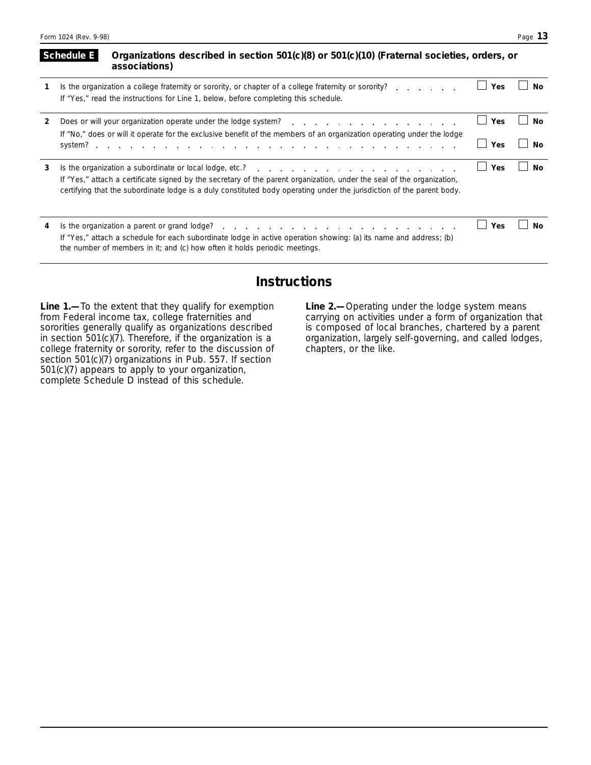|   | Organizations described in section 501(c)(8) or 501(c)(10) (Fraternal societies, orders, or<br>Schedule E<br>associations)                                                                                                                                                                                                                               |     |    |
|---|----------------------------------------------------------------------------------------------------------------------------------------------------------------------------------------------------------------------------------------------------------------------------------------------------------------------------------------------------------|-----|----|
|   | Is the organization a college fraternity or sorority, or chapter of a college fraternity or sorority?<br>If "Yes," read the instructions for Line 1, below, before completing this schedule.                                                                                                                                                             | Yes | N٥ |
| 2 | Does or will your organization operate under the lodge system? The content of the content of the content of the books of the local points of the content of the content of the content of the content of the content of the co<br>If "No," does or will it operate for the exclusive benefit of the members of an organization operating under the lodge | Yes | N٥ |
|   |                                                                                                                                                                                                                                                                                                                                                          | Yes | Nο |
| 3 | If "Yes," attach a certificate signed by the secretary of the parent organization, under the seal of the organization,<br>certifying that the subordinate lodge is a duly constituted body operating under the jurisdiction of the parent body.                                                                                                          | Yes | Νo |
| 4 | If "Yes," attach a schedule for each subordinate lodge in active operation showing: (a) its name and address; (b)<br>the number of members in it; and (c) how often it holds periodic meetings.                                                                                                                                                          | Yes | Nο |

## **Instructions**

**Line 1.—**To the extent that they qualify for exemption **Line 2.—**Operating under the lodge system means sororities generally qualify as organizations described is composed of local branches, chartered by a parent<br>in section 501(c)(7). Therefore, if the organization is a corganization, largely self-governing, and called lodge college fraternity or sorority, refer to the discussion of chapters, or the like. section 501(c)(7) organizations in Pub. 557. If section 501(c)(7) appears to apply to your organization, complete Schedule D instead of this schedule.

from Federal income tax, college fraternities and carrying on activities under a form of organization that organization, largely self-governing, and called lodges,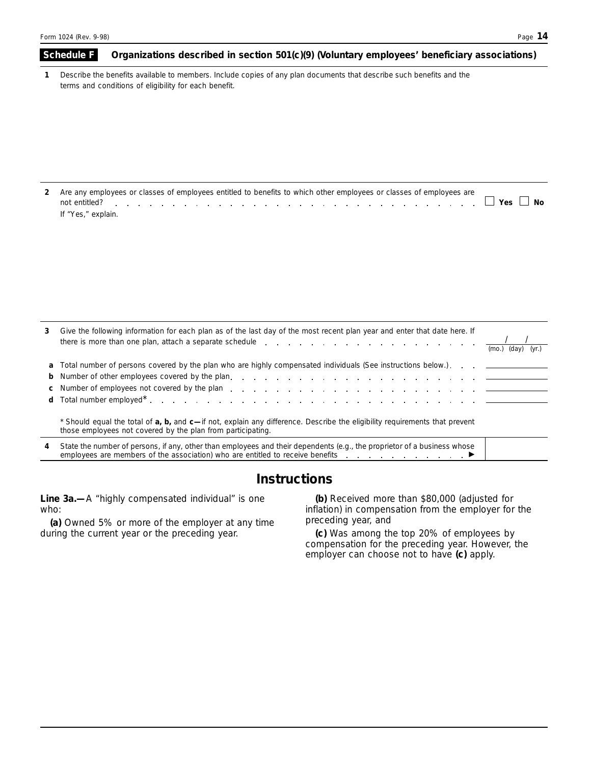## **1 Schedule F** Organizations described in section 501(c)(9) (Voluntary employees' beneficiary associations) Describe the benefits available to members. Include copies of any plan documents that describe such benefits and the terms and conditions of eligibility for each benefit.

| 2 Are any employees or classes of employees entitled to benefits to which other employees or classes of employees are<br>not entitled? |  |
|----------------------------------------------------------------------------------------------------------------------------------------|--|
| lf "Yes," explain.                                                                                                                     |  |

| 3 | Give the following information for each plan as of the last day of the most recent plan year and enter that date here. If<br>there is more than one plan, attach a separate schedule $\cdots$ , $\cdots$ , $\cdots$ , $\cdots$ , $\cdots$ , $\cdots$ , $\cdots$ , $\cdots$ | (mo.)<br>(day)<br>(vr. |
|---|----------------------------------------------------------------------------------------------------------------------------------------------------------------------------------------------------------------------------------------------------------------------------|------------------------|
|   | a Total number of persons covered by the plan who are highly compensated individuals (See instructions below.)                                                                                                                                                             |                        |
|   |                                                                                                                                                                                                                                                                            |                        |
|   | c Number of employees not covered by the plan entering the state of the state of the plane of employees not covered by the plane entering the state of the state of the state of the state of the state of the state of the st                                             |                        |
|   |                                                                                                                                                                                                                                                                            |                        |
|   | Should equal the total of <b>a, b,</b> and <b>c</b> —if not, explain any difference. Describe the eligibility requirements that prevent<br>those employees not covered by the plan from participating.                                                                     |                        |
| 4 | State the number of persons, if any, other than employees and their dependents (e.g., the proprietor of a business whose<br>employees are members of the association) who are entitled to receive benefits $\Box$                                                          |                        |

## **Instructions**

**Line 3a.—**A "highly compensated individual" is one **(b)** Received more than \$80,000 (adjusted for

(a) Owned 5% or more of the employer at any time preceding year, and during the current year or the preceding year. (c) Was among the

who: inflation) in compensation from the employer for the

(c) Was among the top 20% of employees by compensation for the preceding year. However, the employer can choose not to have **(c)** apply.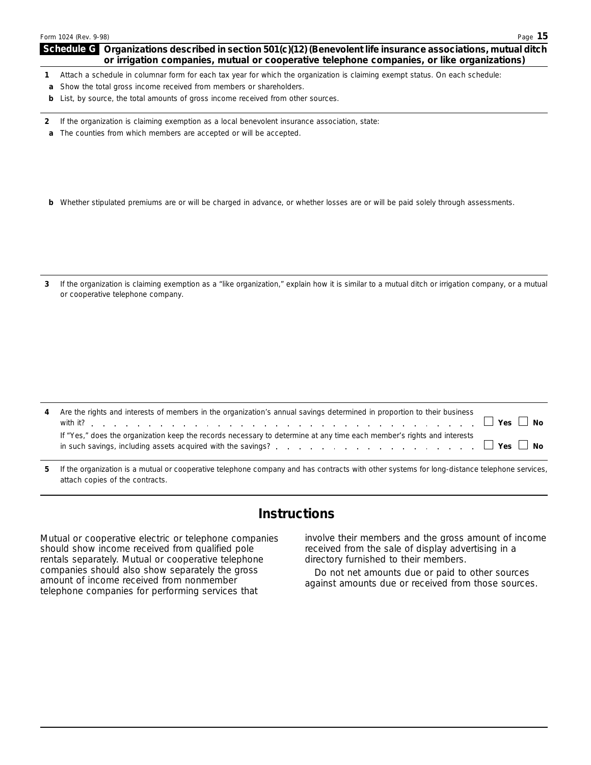### **Schedule G Organizations described in section 501(c)(12) (Benevolent life insurance associations, mutual ditch or irrigation companies, mutual or cooperative telephone companies, or like organizations)**

- **1**  Attach a schedule in columnar form for each tax year for which the organization is claiming exempt status. On each schedule:
- **a** Show the total gross income received from members or shareholders.
- **b** List, by source, the total amounts of gross income received from other sources.
- **2**  If the organization is claiming exemption as a local benevolent insurance association, state:
- **a** The counties from which members are accepted or will be accepted.
- **b** Whether stipulated premiums are or will be charged in advance, or whether losses are or will be paid solely through assessments.
- **3**  If the organization is claiming exemption as a "like organization," explain how it is similar to a mutual ditch or irrigation company, or a mutual or cooperative telephone company.

| 4 | Are the rights and interests of members in the organization's annual savings determined in proportion to their business | $\vert$ Yes $\Box$ No |
|---|-------------------------------------------------------------------------------------------------------------------------|-----------------------|
|   | If "Yes," does the organization keep the records necessary to determine at any time each member's rights and interests  |                       |

**5**  If the organization is a mutual or cooperative telephone company and has contracts with other systems for long-distance telephone services, attach copies of the contracts.

## **Instructions**

should show income received from qualified pole received from the sale of display advertising in a rentals separately. Mutual or cooperative telephone directory furnished to their members. rentals separately. Mutual or cooperative telephone companies should also show separately the gross Do not net amounts due or paid to other sources<br>amount of income received from nonmember<br>telephone companies for performing services that amounts due or received from those s

Mutual or cooperative electric or telephone companies involve their members and the gross amount of income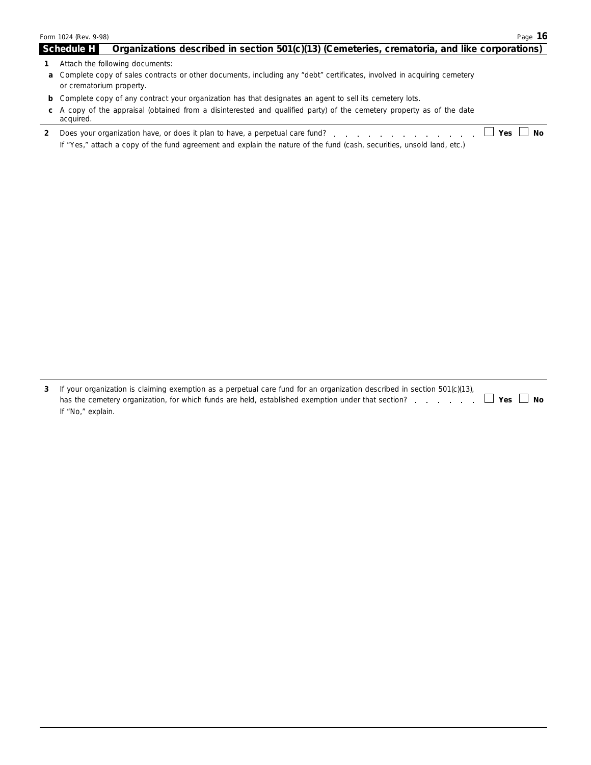|    | Form 1024 (Rev. 9-98)                                                                                                                                                                                         | Page 16 |
|----|---------------------------------------------------------------------------------------------------------------------------------------------------------------------------------------------------------------|---------|
|    | <b>Schedule H</b><br>Organizations described in section 501(c)(13) (Cemeteries, crematoria, and like corporations)                                                                                            |         |
|    | Attach the following documents:                                                                                                                                                                               |         |
|    | a Complete copy of sales contracts or other documents, including any "debt" certificates, involved in acquiring cemetery<br>or crematorium property.                                                          |         |
|    | <b>b</b> Complete copy of any contract your organization has that designates an agent to sell its cemetery lots.                                                                                              |         |
| C. | A copy of the appraisal (obtained from a disinterested and qualified party) of the cemetery property as of the date<br>acquired.                                                                              |         |
|    | Yes<br>Does your organization have, or does it plan to have, a perpetual care fund?<br>If "Yes," attach a copy of the fund agreement and explain the nature of the fund (cash, securities, unsold land, etc.) | Nο      |

| 3 If your organization is claiming exemption as a perpetual care fund for an organization described in section 501(c)(13), |  |  |
|----------------------------------------------------------------------------------------------------------------------------|--|--|
| has the cemetery organization, for which funds are held, established exemption under that section? $\Box$ Yes $\Box$ No    |  |  |
| If "No," explain.                                                                                                          |  |  |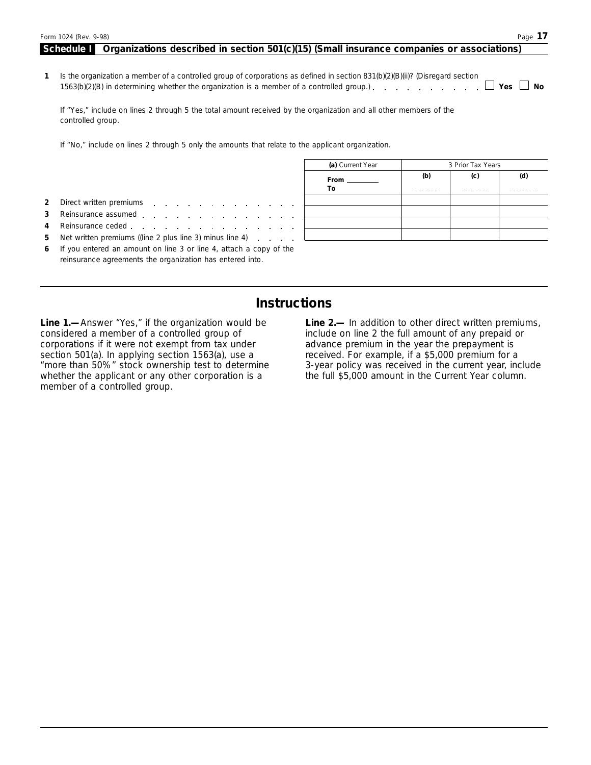| Form 1024 (Rev. 9-98)                                                                                                                                                                                                         |                      |     |                   | Page 17 |
|-------------------------------------------------------------------------------------------------------------------------------------------------------------------------------------------------------------------------------|----------------------|-----|-------------------|---------|
| Organizations described in section 501(c)(15) (Small insurance companies or associations)<br>Schedule I                                                                                                                       |                      |     |                   |         |
| Is the organization a member of a controlled group of corporations as defined in section $831(b)(2)(B)(ii)$ ? (Disregard section<br>1563(b)(2)(B) in determining whether the organization is a member of a controlled group.) |                      |     |                   | ∣ ∣No   |
| If "Yes," include on lines 2 through 5 the total amount received by the organization and all other members of the<br>controlled group.                                                                                        |                      |     |                   |         |
| If "No," include on lines 2 through 5 only the amounts that relate to the applicant organization.                                                                                                                             |                      |     |                   |         |
|                                                                                                                                                                                                                               | (a) Current Year     |     | 3 Prior Tax Years |         |
|                                                                                                                                                                                                                               | From _________<br>To | (b) | (c)               | (d)     |
| Direct written premiums<br>the contract of the contract of the contract of the con-                                                                                                                                           |                      |     |                   |         |

- **3** Reinsurance assumed **4** Reinsurance ceded
- **5** Net written premiums ((line 2 plus line 3) minus line 4)
- **6** If you entered an amount on line 3 or line 4, attach a copy of the reinsurance agreements the organization has entered into.

## **Instructions**

corporations if it were not exempt from tax under advance premium in the year the prepayment is<br>section 501(a). In applying section 1563(a), use a section of previous corresponder is a \$5,000 premium for a section 501(a). In applying section 1563(a), use a received. For example, if a \$5,000 premium for a<br>"more than 50%" stock ownership test to determine 3-year policy was received in the current year, inc whether the applicant or any other corporation is a member of a controlled group.

**Line 1.**—Answer "Yes," if the organization would be **Line 2.**— In addition to other direct written premiums, considered a member of a controlled group of include on line 2 the full amount of any prepaid or include on line 2 the full amount of any prepaid or 3-year policy was received in the current year, include the full \$5,000 amount in the Current Year column.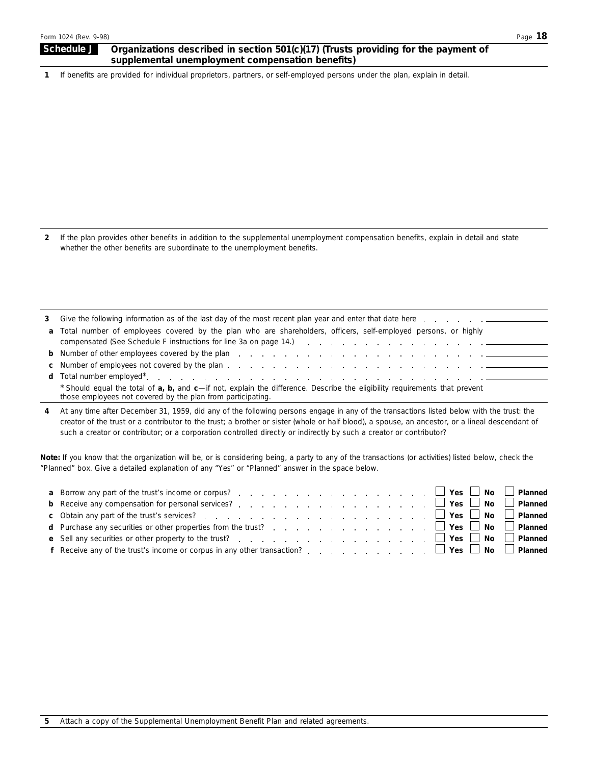### **Schedule J** Organizations described in section 501(c)(17) (Trusts providing for the payment of **supplemental unemployment compensation benefits)**

**1**  If benefits are provided for individual proprietors, partners, or self-employed persons under the plan, explain in detail.

**2**  If the plan provides other benefits in addition to the supplemental unemployment compensation benefits, explain in detail and state whether the other benefits are subordinate to the unemployment benefits.

| 3 Give the following information as of the last day of the most recent plan year and enter that date here entitled to the summary set of the last day of the most recent plan year and enter that date here                                                              |
|--------------------------------------------------------------------------------------------------------------------------------------------------------------------------------------------------------------------------------------------------------------------------|
| a Total number of employees covered by the plan who are shareholders, officers, self-employed persons, or highly<br>compensated (See Schedule F instructions for line 3a on page 14.) [19] Comparent Assembly Comparent Schedule F instructions for line 3a on page 14.) |
|                                                                                                                                                                                                                                                                          |
|                                                                                                                                                                                                                                                                          |
|                                                                                                                                                                                                                                                                          |
| * Should equal the total of <b>a</b> , <b>b</b> , and <b>c</b> —if not, explain the difference. Describe the eligibility requirements that prevent<br>those employees not covered by the plan from participating.                                                        |

**4** At any time after December 31, 1959, did any of the following persons engage in any of the transactions listed below with the trust: the creator of the trust or a contributor to the trust; a brother or sister (whole or half blood), a spouse, an ancestor, or a lineal descendant of such a creator or contributor; or a corporation controlled directly or indirectly by such a creator or contributor?

**Note:** *If you know that the organization will be, or is considering being, a party to any of the transactions (or activities) listed below, check the "Planned" box. Give a detailed explanation of any "Yes" or "Planned" answer in the space below.* 

| <b>f</b> Receive any of the trust's income or corpus in any other transaction? $\ldots$ , $\ldots$ , $\ldots$ , $\Box$ Yes $\Box$ No $\Box$ Planned |  |
|-----------------------------------------------------------------------------------------------------------------------------------------------------|--|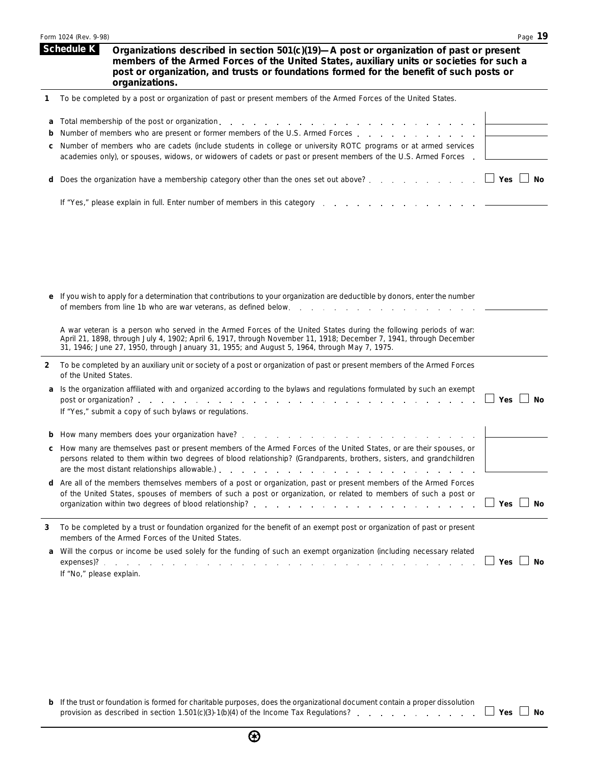|   | Page 19<br>Form 1024 (Rev. 9-98)                                                                                                                                                                                                                                                                                                        |
|---|-----------------------------------------------------------------------------------------------------------------------------------------------------------------------------------------------------------------------------------------------------------------------------------------------------------------------------------------|
|   | <b>Schedule K</b><br>Organizations described in section 501(c)(19)-A post or organization of past or present<br>members of the Armed Forces of the United States, auxiliary units or societies for such a<br>post or organization, and trusts or foundations formed for the benefit of such posts or<br>organizations.                  |
| 1 | To be completed by a post or organization of past or present members of the Armed Forces of the United States.                                                                                                                                                                                                                          |
| a | Total membership of the post or organization.                                                                                                                                                                                                                                                                                           |
| b | Number of members who are present or former members of the U.S. Armed Forces                                                                                                                                                                                                                                                            |
| с | Number of members who are cadets (include students in college or university ROTC programs or at armed services<br>academies only), or spouses, widows, or widowers of cadets or past or present members of the U.S. Armed Forces.                                                                                                       |
| d | $\Box$ Yes $\Box$<br>No<br>Does the organization have a membership category other than the ones set out above?                                                                                                                                                                                                                          |
|   | If "Yes," please explain in full. Enter number of members in this category.                                                                                                                                                                                                                                                             |
|   |                                                                                                                                                                                                                                                                                                                                         |
|   |                                                                                                                                                                                                                                                                                                                                         |
|   |                                                                                                                                                                                                                                                                                                                                         |
|   |                                                                                                                                                                                                                                                                                                                                         |
|   | If you wish to apply for a determination that contributions to your organization are deductible by donors, enter the number<br>of members from line 1b who are war veterans, as defined below.                                                                                                                                          |
|   | A war veteran is a person who served in the Armed Forces of the United States during the following periods of war:<br>April 21, 1898, through July 4, 1902; April 6, 1917, through November 11, 1918; December 7, 1941, through December<br>31, 1946; June 27, 1950, through January 31, 1955; and August 5, 1964, through May 7, 1975. |
| 2 | To be completed by an auxiliary unit or society of a post or organization of past or present members of the Armed Forces<br>of the United States.                                                                                                                                                                                       |
| a | Is the organization affiliated with and organized according to the bylaws and regulations formulated by such an exempt                                                                                                                                                                                                                  |
|   | Yes l<br>No<br>post or organization?.<br>and a straightful contract and a straight<br>If "Yes," submit a copy of such bylaws or regulations.                                                                                                                                                                                            |
|   | How many members does your organization have?                                                                                                                                                                                                                                                                                           |
|   | How many are themselves past or present members of the Armed Forces of the United States, or are their spouses, or<br>persons related to them within two degrees of blood relationship? (Grandparents, brothers, sisters, and grandchildren                                                                                             |
| d | Are all of the members themselves members of a post or organization, past or present members of the Armed Forces<br>of the United States, spouses of members of such a post or organization, or related to members of such a post or<br>$\Box$ Yes $\Box$ No                                                                            |
| 3 | To be completed by a trust or foundation organized for the benefit of an exempt post or organization of past or present<br>members of the Armed Forces of the United States.                                                                                                                                                            |
| a | Will the corpus or income be used solely for the funding of such an exempt organization (including necessary related<br>$\Box$ Yes $\Box$ No<br>If "No," please explain.                                                                                                                                                                |

**b** If the trust or foundation is formed for charitable purposes, does the organizational document contain a proper dissolution provision as described in section 1.501(c)(3)-1(b)(4) of the Income Tax Regulations?  $\blacksquare$  .  $\blacksquare$  Yes  $\blacksquare$  No  $\blacksquare$